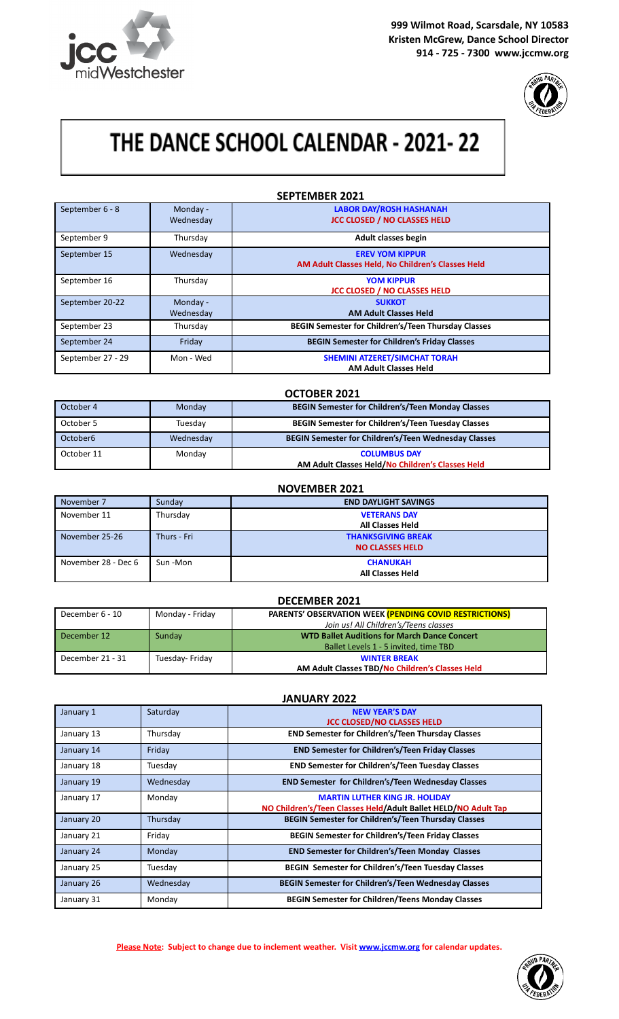

**999 Wilmot Road, Scarsdale, NY 10583 Kristen McGrew, Dance School Director 914 - 725 - 7300 www.jccmw.org**



# THE DANCE SCHOOL CALENDAR - 2021-22

| <b>SEPTEMBER 2021</b> |                       |                                                                             |
|-----------------------|-----------------------|-----------------------------------------------------------------------------|
| September 6 - 8       | Monday -<br>Wednesday | <b>LABOR DAY/ROSH HASHANAH</b><br><b>JCC CLOSED / NO CLASSES HELD</b>       |
| September 9           | Thursday              | <b>Adult classes begin</b>                                                  |
| September 15          | Wednesday             | <b>EREV YOM KIPPUR</b><br>AM Adult Classes Held, No Children's Classes Held |
| September 16          | Thursday              | <b>YOM KIPPUR</b><br><b>JCC CLOSED / NO CLASSES HELD</b>                    |
| September 20-22       | Monday -<br>Wednesday | <b>SUKKOT</b><br><b>AM Adult Classes Held</b>                               |
| September 23          | Thursday              | <b>BEGIN Semester for Children's/Teen Thursday Classes</b>                  |
| September 24          | Friday                | <b>BEGIN Semester for Children's Friday Classes</b>                         |
| September 27 - 29     | Mon - Wed             | <b>SHEMINI ATZERET/SIMCHAT TORAH</b><br><b>AM Adult Classes Held</b>        |

|                      |           | <b>OCTOBER 2021</b>                                         |
|----------------------|-----------|-------------------------------------------------------------|
| October 4            | Monday    | <b>BEGIN Semester for Children's/Teen Monday Classes</b>    |
| October 5            | Tuesday   | <b>BEGIN Semester for Children's/Teen Tuesday Classes</b>   |
| October <sub>6</sub> | Wednesday | <b>BEGIN Semester for Children's/Teen Wednesday Classes</b> |
| October 11           | Monday    | <b>COLUMBUS DAY</b>                                         |
|                      |           | AM Adult Classes Held/No Children's Classes Held            |

| <b>NOVEMBER 2021</b> |             |                                                     |
|----------------------|-------------|-----------------------------------------------------|
| November 7           | Sunday      | <b>END DAYLIGHT SAVINGS</b>                         |
| November 11          | Thursday    | <b>VETERANS DAY</b><br><b>All Classes Held</b>      |
| November 25-26       | Thurs - Fri | <b>THANKSGIVING BREAK</b><br><b>NO CLASSES HELD</b> |
| November 28 - Dec 6  | Sun-Mon     | <b>CHANUKAH</b><br><b>All Classes Held</b>          |

|                  |                 | <b>DECEMBER 2021</b>                                          |
|------------------|-----------------|---------------------------------------------------------------|
| December 6 - 10  | Monday - Friday | <b>PARENTS' OBSERVATION WEEK (PENDING COVID RESTRICTIONS)</b> |
|                  |                 | Join us! All Children's/Teens classes                         |
| December 12      | Sunday          | <b>WTD Ballet Auditions for March Dance Concert</b>           |
|                  |                 | Ballet Levels 1 - 5 invited, time TBD                         |
| December 21 - 31 | Tuesday-Friday  | <b>WINTER BREAK</b>                                           |
|                  |                 | AM Adult Classes TBD/No Children's Classes Held               |

| <b>JANUARY 2022</b> |           |                                                                                                         |
|---------------------|-----------|---------------------------------------------------------------------------------------------------------|
| January 1           | Saturday  | <b>NEW YEAR'S DAY</b><br><b>JCC CLOSED/NO CLASSES HELD</b>                                              |
| January 13          | Thursday  | <b>END Semester for Children's/Teen Thursday Classes</b>                                                |
| January 14          | Friday    | <b>END Semester for Children's/Teen Friday Classes</b>                                                  |
| January 18          | Tuesday   | <b>END Semester for Children's/Teen Tuesday Classes</b>                                                 |
| January 19          | Wednesday | <b>END Semester for Children's/Teen Wednesday Classes</b>                                               |
| January 17          | Monday    | <b>MARTIN LUTHER KING JR. HOLIDAY</b><br>NO Children's/Teen Classes Held/Adult Ballet HELD/NO Adult Tap |
| January 20          | Thursday  | <b>BEGIN Semester for Children's/Teen Thursday Classes</b>                                              |
| January 21          | Friday    | <b>BEGIN Semester for Children's/Teen Friday Classes</b>                                                |
| January 24          | Monday    | <b>END Semester for Children's/Teen Monday Classes</b>                                                  |
| January 25          | Tuesday   | BEGIN Semester for Children's/Teen Tuesday Classes                                                      |
| January 26          | Wednesday | <b>BEGIN Semester for Children's/Teen Wednesday Classes</b>                                             |
| January 31          | Monday    | <b>BEGIN Semester for Children/Teens Monday Classes</b>                                                 |

**Please Note: Subject to change due to inclement weather. Visit [www.jccmw.org](http://www.jccmw.org) for calendar updates.**